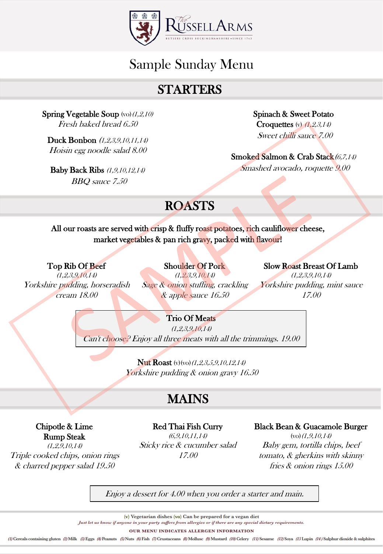

# Sample Sunday Menu

## STARTERS

Spring Vegetable Soup  $(vo)(1,2,10)$ Fresh baked bread 6.50

Duck Bonbon (1,2,3,9,10,11,14) Hoisin egg noodle salad 8.00

Baby Back Ribs (1,9,10,12,14) BBQ sauce 7.50

Spinach & Sweet Potato Croquettes  $(y)$   $(1,2,3,14)$ Sweet chilli sauce 7.00

Smoked Salmon & Crab Stack(6,7,14) Smashed avocado, roquette 9.00

# ROASTS

All our roasts are served with crisp & fluffy roast potatoes, rich cauliflower cheese, market vegetables & pan rich gravy, packed with flavour!

Top Rib Of Beef  $(1,2,3,9,10,14)$ 

Yorkshire pudding, horseradish cream 18.00

Shoulder Of Pork (1,2,3,9,10,14) Sage & onion stuffing, crackling & apple sauce 16.50

Slow Roast Breast Of Lamb (1,2,3,9,10,14) Yorkshire pudding, mint sauce 17.00

### Trio Of Meats

(1,2,3,9,10,14) Can't choose? Enjoy all three meats with all the trimmings. 19.00

> **Nut Roast** (v)(vo)(1,2,3,5,9,10,12,14) Yorkshire pudding & onion gravy 16.50

## MAINS

Red Thai Fish Curry (6,9,10,11,14) Sticky rice & cucumber salad 17.00

#### Black Bean & Guacamole Burger

 $(vo)(1,9,10,14)$ Baby gem, tortilla chips, beef tomato, & gherkins with skinny fries & onion rings 15.00

Enjoy a dessert for 4.00 when you order a starter and main.

(v) Vegetarian dishes (vo) Can be prepared for a vegan diet

Just let us know if anyone in your party suffers from allergies or if there are any special dietary requirements.

OUR MENU INDICATES ALLERGEN INFORMATION

(1) Cereals containing gluten (2) Milk (3) Eggs (4) Peanuts (5) Nuts (6) Fish (7) Crustaceans (8) Mollusc (9) Mustard (10) Celery (11) Sesame (12) Soya (13 Lupin (14) Sulphur dioxide & sulphites

Chipotle & Lime Rump Steak (1,2,9,10,14)

Triple cooked chips, onion rings & charred pepper salad 19.50